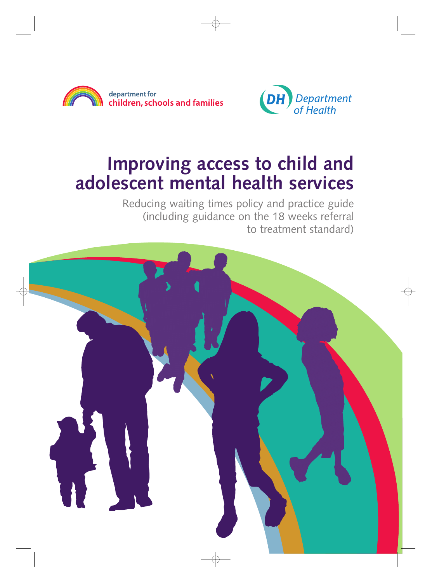



# **Improving access to child and adolescent mental health services**

Reducing waiting times policy and practice guide (including guidance on the 18 weeks referral to treatment standard)

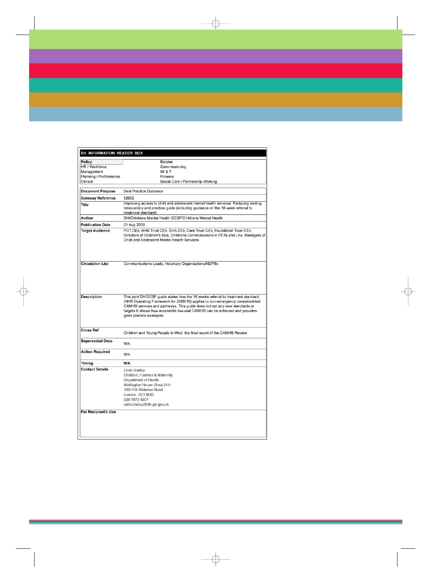| DH INFORMATION READER BOX  |                                                                                                                                                                                                                                                                                                                                                         |
|----------------------------|---------------------------------------------------------------------------------------------------------------------------------------------------------------------------------------------------------------------------------------------------------------------------------------------------------------------------------------------------------|
| Policy                     | Estates                                                                                                                                                                                                                                                                                                                                                 |
| HR / Workforce             | Commissioning                                                                                                                                                                                                                                                                                                                                           |
| Management                 | <b>IM &amp; T</b>                                                                                                                                                                                                                                                                                                                                       |
| Planning / Performance     | Finance                                                                                                                                                                                                                                                                                                                                                 |
| Clinical                   | Social Care / Partnership Working                                                                                                                                                                                                                                                                                                                       |
| <b>Document Purpose</b>    | <b>Best Practice Guidance</b>                                                                                                                                                                                                                                                                                                                           |
| <b>Gateway Reference</b>   | 12032                                                                                                                                                                                                                                                                                                                                                   |
| <b>Title</b>               | Improving access to child and adolescent mental health services: Reducing waiting<br>times policy and practice guide (including guidance on the 18 week referral to<br>treatment standard)                                                                                                                                                              |
| Author                     | DH/Childrens Mental Health DCSF/Childrens Mental Health                                                                                                                                                                                                                                                                                                 |
| <b>Publication Date</b>    | 01 Aug 2009                                                                                                                                                                                                                                                                                                                                             |
| <b>Target Audience</b>     | PCT CEs, NHS Trust CEs, SHA CEs, Care Trust CEs, Foundation Trust CEs,<br>Directors of Children's SSs, Childrens Commissioners in PCTs and LAs, Managers of<br>Child and Adolescent Mental Health Services                                                                                                                                              |
| <b>Circulation List</b>    | Communications Leads, Voluntary Organisations/NDPBs                                                                                                                                                                                                                                                                                                     |
| <b>Description</b>         | This joint DH/DCSF quide states how the 18 weeks referral to treatment standard.<br>(NHS Operating Framework for 2009/10) applies to non-emergency consultant-led<br>CAMHS services and pathways. This guide does not set any new standards or<br>targets.It shows how accessible low-wait CAMHS can be achieved and provides<br>good practice examples |
| <b>Cross Ref</b>           | Children and Young People in Mind: the final report of the CAMHS Review                                                                                                                                                                                                                                                                                 |
| <b>Superseded Docs</b>     | N/A                                                                                                                                                                                                                                                                                                                                                     |
| <b>Action Required</b>     | N/A                                                                                                                                                                                                                                                                                                                                                     |
| Timing                     | N/A                                                                                                                                                                                                                                                                                                                                                     |
| <b>Contact Details</b>     | Colin Startup<br>Children, Families & Maternity<br>Department of Health<br>Wellington House (Area 211)<br>133-155 Waterloo Road<br>London SE1 8UG<br>020 7972 4207<br>colin.startup@dh.gsi.gov.uk                                                                                                                                                       |
| <b>For Recipient's Use</b> |                                                                                                                                                                                                                                                                                                                                                         |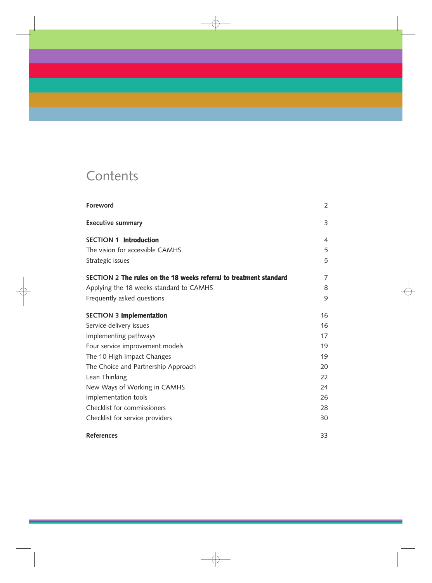## **Contents**

| <b>Foreword</b>                                                    | $\overline{2}$ |
|--------------------------------------------------------------------|----------------|
| <b>Executive summary</b>                                           | 3              |
| <b>SECTION 1 Introduction</b>                                      | 4              |
| The vision for accessible CAMHS                                    | 5              |
| Strategic issues                                                   | 5              |
| SECTION 2 The rules on the 18 weeks referral to treatment standard | 7              |
| Applying the 18 weeks standard to CAMHS                            | 8              |
| Frequently asked questions                                         | 9              |
| <b>SECTION 3 Implementation</b>                                    | 16             |
| Service delivery issues                                            | 16             |
| Implementing pathways                                              | 17             |
| Four service improvement models                                    | 19             |
| The 10 High Impact Changes                                         | 19             |
| The Choice and Partnership Approach                                | 20             |
| Lean Thinking                                                      | 22             |
| New Ways of Working in CAMHS                                       | 24             |
| Implementation tools                                               | 26             |
| Checklist for commissioners                                        | 28             |
| Checklist for service providers                                    | 30             |
| <b>References</b>                                                  | 33             |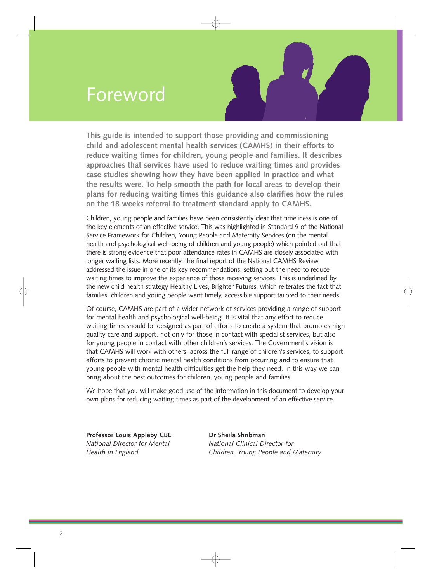## Foreword



**This guide is intended to support those providing and commissioning child and adolescent mental health services (CAMHS) in their efforts to reduce waiting times for children, young people and families. It describes approaches that services have used to reduce waiting times and provides case studies showing how they have been applied in practice and what the results were. To help smooth the path for local areas to develop their plans for reducing waiting times this guidance also clarifies how the rules on the 18 weeks referral to treatment standard apply to CAMHS.** 

Children, young people and families have been consistently clear that timeliness is one of the key elements of an effective service. This was highlighted in Standard 9 of the National Service Framework for Children, Young People and Maternity Services (on the mental health and psychological well-being of children and young people) which pointed out that there is strong evidence that poor attendance rates in CAMHS are closely associated with longer waiting lists. More recently, the final report of the National CAMHS Review addressed the issue in one of its key recommendations, setting out the need to reduce waiting times to improve the experience of those receiving services. This is underlined by the new child health strategy Healthy Lives, Brighter Futures, which reiterates the fact that families, children and young people want timely, accessible support tailored to their needs.

Of course, CAMHS are part of a wider network of services providing a range of support for mental health and psychological well-being. It is vital that any effort to reduce waiting times should be designed as part of efforts to create a system that promotes high quality care and support, not only for those in contact with specialist services, but also for young people in contact with other children's services. The Government's vision is that CAMHS will work with others, across the full range of children's services, to support efforts to prevent chronic mental health conditions from occurring and to ensure that young people with mental health difficulties get the help they need. In this way we can bring about the best outcomes for children, young people and families.

We hope that you will make good use of the information in this document to develop your own plans for reducing waiting times as part of the development of an effective service.

**Professor Louis Appleby CBE Dr Sheila Shribman** 

*National Director for Mental* Mational Clinical Director for *Health in England Children, Young People and Maternity*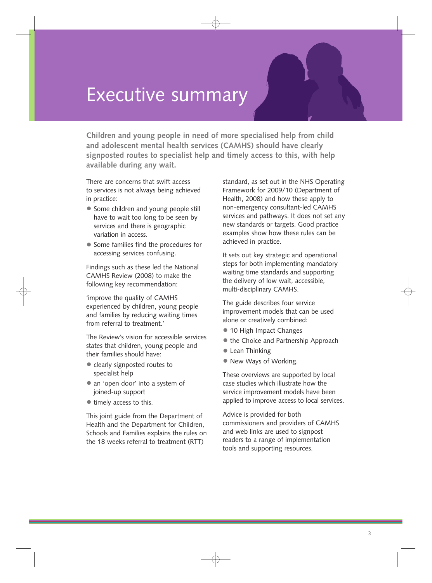## <span id="page-4-0"></span>Executive summary

**Children and young people in need of more specialised help from child and adolescent mental health services (CAMHS) should have clearly signposted routes to specialist help and timely access to this, with help available during any wait.** 

There are concerns that swift access to services is not always being achieved in practice:

- Some children and young people still have to wait too long to be seen by services and there is geographic variation in access.
- Some families find the procedures for accessing services confusing.

Findings such as these led the National CAMHS Review (2008) to make the following key recommendation:

'improve the quality of CAMHS experienced by children, young people and families by reducing waiting times from referral to treatment.'

The Review's vision for accessible services states that children, young people and their families should have:

- clearly signposted routes to specialist help
- an 'open door' into a system of joined-up support
- timely access to this.

This joint guide from the Department of Health and the Department for Children, Schools and Families explains the rules on the 18 weeks referral to treatment (RTT)

standard, as set out in the NHS Operating Framework for 2009/10 (Department of Health, 2008) and how these apply to non-emergency consultant-led CAMHS services and pathways. It does not set any new standards or targets. Good practice examples show how these rules can be achieved in practice.

It sets out key strategic and operational steps for both implementing mandatory waiting time standards and supporting the delivery of low wait, accessible, multi-disciplinary CAMHS.

The guide describes four service improvement models that can be used alone or creatively combined:

- 10 High Impact Changes
- the Choice and Partnership Approach
- Lean Thinking
- New Ways of Working.

These overviews are supported by local case studies which illustrate how the service improvement models have been applied to improve access to local services.

Advice is provided for both commissioners and providers of CAMHS and web links are used to signpost readers to a range of implementation tools and supporting resources.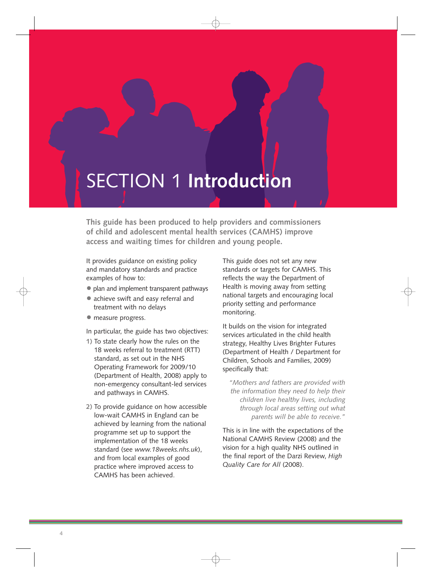## <span id="page-5-0"></span>SECTION 1 **Introduction**

**This guide has been produced to help providers and commissioners of child and adolescent mental health services (CAMHS) improve access and waiting times for children and young people.** 

It provides guidance on existing policy and mandatory standards and practice examples of how to:

- plan and implement transparent pathways
- achieve swift and easy referral and treatment with no delays
- $\bullet$  measure progress.

In particular, the guide has two objectives:

- **1)** To state clearly how the rules on the 18 weeks referral to treatment (RTT) standard, as set out in the NHS Operating Framework for 2009/10 (Department of Health, 2008) apply to non-emergency consultant-led services and pathways in CAMHS.
- **2)** To provide guidance on how accessible low-wait CAMHS in England can be achieved by learning from the national programme set up to support the implementation of the 18 weeks standard (see *www.18weeks.nhs.uk*), and from local examples of good practice where improved access to CAMHS has been achieved.

This guide does not set any new standards or targets for CAMHS. This reflects the way the Department of Health is moving away from setting national targets and encouraging local priority setting and performance monitoring.

It builds on the vision for integrated services articulated in the child health strategy, Healthy Lives Brighter Futures (Department of Health / Department for Children, Schools and Families, 2009) specifically that:

*"Mothers and fathers are provided with the information they need to help their children live healthy lives, including through local areas setting out what parents will be able to receive."* 

This is in line with the expectations of the National CAMHS Review (2008) and the vision for a high quality NHS outlined in the final report of the Darzi Review, *High Quality Care for All* (2008).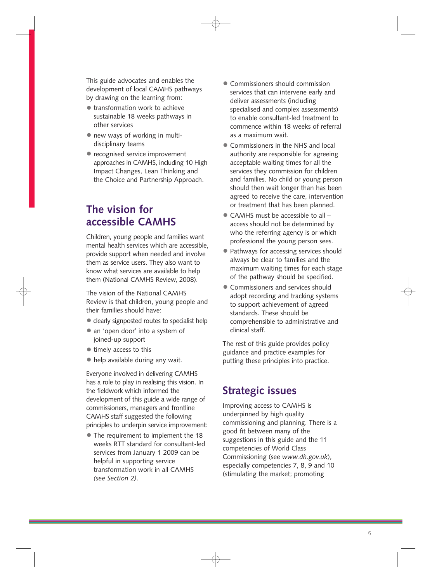This guide advocates and enables the development of local CAMHS pathways by drawing on the learning from:

- transformation work to achieve sustainable 18 weeks pathways in other services
- new ways of working in multidisciplinary teams
- recognised service improvement approaches in CAMHS, including 10 High Impact Changes, Lean Thinking and the Choice and Partnership Approach.

## **The vision for accessible CAMHS**

Children, young people and families want mental health services which are accessible, provide support when needed and involve them as service users. They also want to know what services are available to help them (National CAMHS Review, 2008).

The vision of the National CAMHS Review is that children, young people and their families should have:

- clearly signposted routes to specialist help
- an 'open door' into a system of joined-up support
- timely access to this
- help available during any wait.

Everyone involved in delivering CAMHS has a role to play in realising this vision. In the fieldwork which informed the development of this guide a wide range of commissioners, managers and frontline CAMHS staff suggested the following principles to underpin service improvement:

• The requirement to implement the 18 weeks RTT standard for consultant-led services from January 1 2009 can be helpful in supporting service transformation work in all CAMHS *(see Section 2)*.

- Commissioners should commission services that can intervene early and deliver assessments (including specialised and complex assessments) to enable consultant-led treatment to commence within 18 weeks of referral as a maximum wait.
- Commissioners in the NHS and local authority are responsible for agreeing acceptable waiting times for all the services they commission for children and families. No child or young person should then wait longer than has been agreed to receive the care, intervention or treatment that has been planned.
- CAMHS must be accessible to all access should not be determined by who the referring agency is or which professional the young person sees.
- Pathways for accessing services should always be clear to families and the maximum waiting times for each stage of the pathway should be specified.
- Commissioners and services should adopt recording and tracking systems to support achievement of agreed standards. These should be comprehensible to administrative and clinical staff.

The rest of this guide provides policy guidance and practice examples for putting these principles into practice.

## **Strategic issues**

Improving access to CAMHS is underpinned by high quality commissioning and planning. There is a good fit between many of the suggestions in this guide and the 11 competencies of World Class Commissioning (see *www.dh.gov.uk*), especially competencies 7, 8, 9 and 10 (stimulating the market; promoting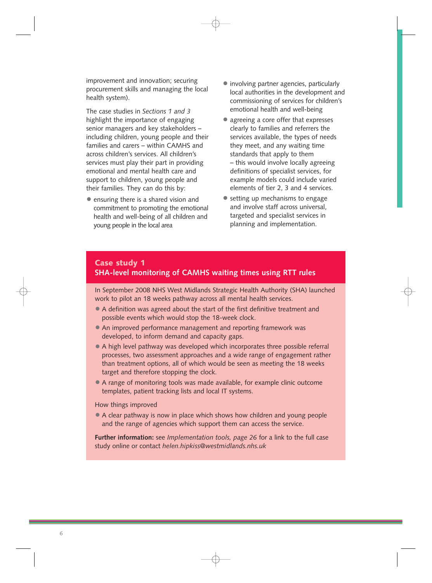improvement and innovation; securing procurement skills and managing the local health system).

The case studies in *Sections 1 and 3*  highlight the importance of engaging senior managers and key stakeholders – including children, young people and their families and carers – within CAMHS and across children's services. All children's services must play their part in providing emotional and mental health care and support to children, young people and their families. They can do this by:

• ensuring there is a shared vision and commitment to promoting the emotional health and well-being of all children and young people in the local area

- involving partner agencies, particularly local authorities in the development and commissioning of services for children's emotional health and well-being
- agreeing a core offer that expresses clearly to families and referrers the services available, the types of needs they meet, and any waiting time standards that apply to them – this would involve locally agreeing definitions of specialist services, for example models could include varied elements of tier 2, 3 and 4 services.
- setting up mechanisms to engage and involve staff across universal, targeted and specialist services in planning and implementation.

## **Case study 1 SHA-level monitoring of CAMHS waiting times using RTT rules**

In September 2008 NHS West Midlands Strategic Health Authority (SHA) launched work to pilot an 18 weeks pathway across all mental health services.

- A definition was agreed about the start of the first definitive treatment and possible events which would stop the 18-week clock.
- An improved performance management and reporting framework was developed, to inform demand and capacity gaps.
- A high level pathway was developed which incorporates three possible referral processes, two assessment approaches and a wide range of engagement rather than treatment options, all of which would be seen as meeting the 18 weeks target and therefore stopping the clock.
- A range of monitoring tools was made available, for example clinic outcome templates, patient tracking lists and local IT systems.

#### How things improved

• A clear pathway is now in place which shows how children and young people and the range of agencies which support them can access the service.

**Further information:** see *Implementation tools, page 26* for a link to the full case study online or contact *helen.hipkiss@westmidlands.nhs.uk*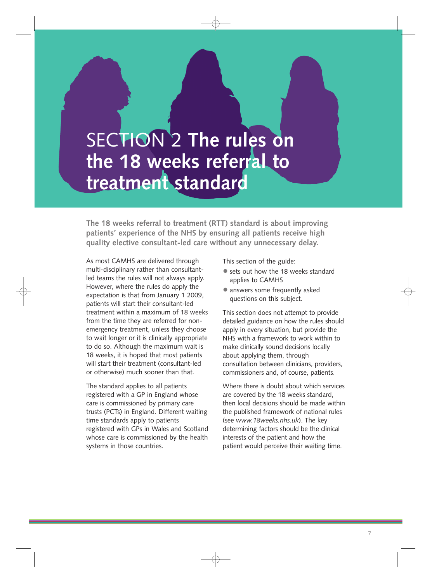# SECTION 2 **The rules on the 18 weeks referral to treatment standard**

**The 18 weeks referral to treatment (RTT) standard is about improving patients' experience of the NHS by ensuring all patients receive high quality elective consultant-led care without any unnecessary delay.** 

As most CAMHS are delivered through multi-disciplinary rather than consultantled teams the rules will not always apply. However, where the rules do apply the expectation is that from January 1 2009, patients will start their consultant-led treatment within a maximum of 18 weeks from the time they are referred for nonemergency treatment, unless they choose to wait longer or it is clinically appropriate to do so. Although the maximum wait is 18 weeks, it is hoped that most patients will start their treatment (consultant-led or otherwise) much sooner than that.

The standard applies to all patients registered with a GP in England whose care is commissioned by primary care trusts (PCTs) in England. Different waiting time standards apply to patients registered with GPs in Wales and Scotland whose care is commissioned by the health systems in those countries.

This section of the guide:

- sets out how the 18 weeks standard applies to CAMHS
- answers some frequently asked questions on this subject.

This section does not attempt to provide detailed guidance on how the rules should apply in every situation, but provide the NHS with a framework to work within to make clinically sound decisions locally about applying them, through consultation between clinicians, providers, commissioners and, of course, patients.

Where there is doubt about which services are covered by the 18 weeks standard, then local decisions should be made within the published framework of national rules (see *www.18weeks.nhs.uk*). The key determining factors should be the clinical interests of the patient and how the patient would perceive their waiting time.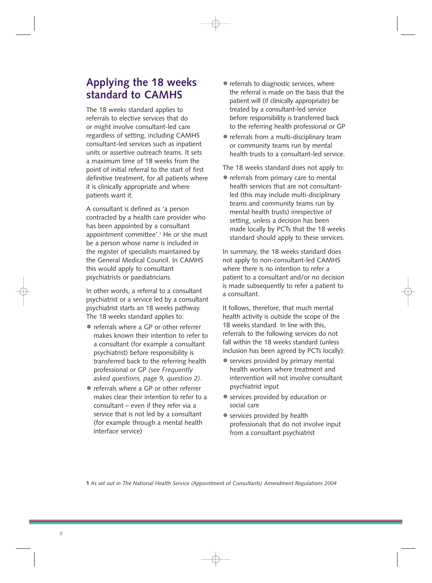## **Applying the 18 weeks standard to CAMHS**

The 18 weeks standard applies to referrals to elective services that do or might involve consultant-led care regardless of setting, including CAMHS consultant-led services such as inpatient units or assertive outreach teams. It sets a maximum time of 18 weeks from the point of initial referral to the start of first definitive treatment, for all patients where it is clinically appropriate and where patients want it.

A consultant is defined as 'a person contracted by a health care provider who has been appointed by a consultant appointment committee'.<sup>1</sup> He or she must be a person whose name is included in the register of specialists maintained by the General Medical Council. In CAMHS this would apply to consultant psychiatrists or paediatricians.

In other words, a referral to a consultant psychiatrist or a service led by a consultant psychiatrist starts an 18 weeks pathway. The 18 weeks standard applies to:

- referrals where a GP or other referrer makes known their intention to refer to a consultant (for example a consultant psychiatrist) before responsibility is transferred back to the referring health professional or GP *(see Frequently asked questions, page 9, question 2)*.
- referrals where a GP or other referrer makes clear their intention to refer to a consultant – even if they refer via a service that is not led by a consultant (for example through a mental health interface service)
- referrals to diagnostic services, where the referral is made on the basis that the patient will (if clinically appropriate) be treated by a consultant-led service before responsibility is transferred back to the referring health professional or GP
- referrals from a multi-disciplinary team or community teams run by mental health trusts to a consultant-led service.

The 18 weeks standard does not apply to:

• referrals from primary care to mental health services that are not consultantled (this may include multi-disciplinary teams and community teams run by mental health trusts) irrespective of setting, unless a decision has been made locally by PCTs that the 18 weeks standard should apply to these services.

In summary, the 18 weeks standard does not apply to non-consultant-led CAMHS where there is no intention to refer a patient to a consultant and/or no decision is made subsequently to refer a patient to a consultant.

It follows, therefore, that much mental health activity is outside the scope of the 18 weeks standard. In line with this, referrals to the following services do not fall within the 18 weeks standard (unless inclusion has been agreed by PCTs locally):

- services provided by primary mental health workers where treatment and intervention will not involve consultant psychiatrist input
- services provided by education or social care
- services provided by health professionals that do not involve input from a consultant psychiatrist

**1** *As set out in The National Health Service (Appointment of Consultants) Amendment Regulations 2004*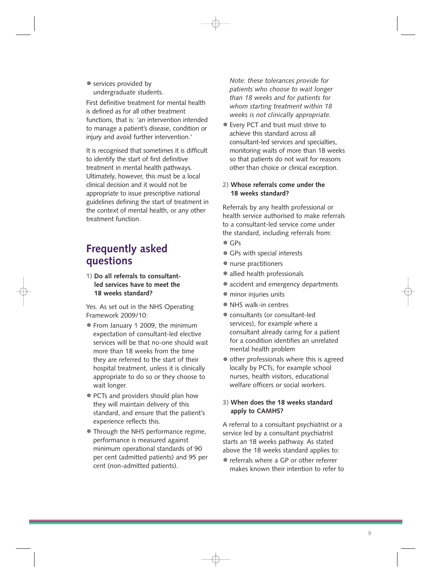• services provided by undergraduate students.

First definitive treatment for mental health is defined as for all other treatment functions, that is: 'an intervention intended to manage a patient's disease, condition or injury and avoid further intervention.'

It is recognised that sometimes it is difficult to identify the start of first definitive treatment in mental health pathways. Ultimately, however, this must be a local clinical decision and it would not be appropriate to issue prescriptive national guidelines defining the start of treatment in the context of mental health, or any other treatment function.

## **Frequently asked questions**

**1) Do all referrals to consultantled services have to meet the 18 weeks standard?** 

Yes. As set out in the NHS Operating Framework 2009/10:

- From January 1 2009, the minimum expectation of consultant-led elective services will be that no-one should wait more than 18 weeks from the time they are referred to the start of their hospital treatment, unless it is clinically appropriate to do so or they choose to wait longer.
- PCTs and providers should plan how they will maintain delivery of this standard, and ensure that the patient's experience reflects this.
- Through the NHS performance regime, performance is measured against minimum operational standards of 90 per cent (admitted patients) and 95 per cent (non-admitted patients).

*Note: these tolerances provide for patients who choose to wait longer than 18 weeks and for patients for whom starting treatment within 18 weeks is not clinically appropriate.* 

• Every PCT and trust must strive to achieve this standard across all consultant-led services and specialties, monitoring waits of more than 18 weeks so that patients do not wait for reasons other than choice or clinical exception.

## **2) Whose referrals come under the 18 weeks standard?**

Referrals by any health professional or health service authorised to make referrals to a consultant-led service come under the standard, including referrals from:

- GPs
- GPs with special interests
- nurse practitioners
- allied health professionals
- accident and emergency departments
- minor injuries units
- NHS walk-in centres
- consultants (or consultant-led services), for example where a consultant already caring for a patient for a condition identifies an unrelated mental health problem
- other professionals where this is agreed locally by PCTs, for example school nurses, health visitors, educational welfare officers or social workers.

## **3) When does the 18 weeks standard apply to CAMHS?**

A referral to a consultant psychiatrist or a service led by a consultant psychiatrist starts an 18 weeks pathway. As stated above the 18 weeks standard applies to:

• referrals where a GP or other referrer makes known their intention to refer to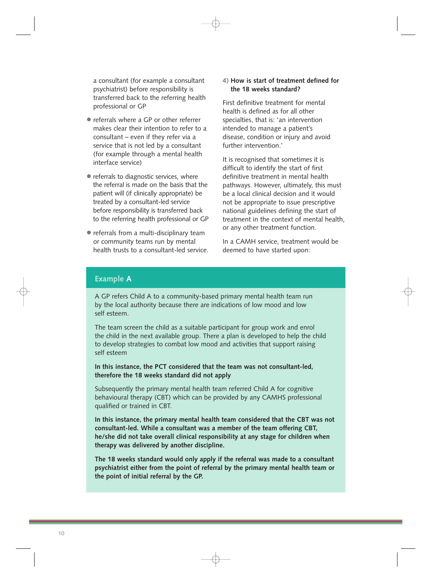a consultant (for example a consultant psychiatrist) before responsibility is transferred back to the referring health professional or GP

- referrals where a GP or other referrer makes clear their intention to refer to a consultant – even if they refer via a service that is not led by a consultant (for example through a mental health interface service)
- referrals to diagnostic services, where the referral is made on the basis that the patient will (if clinically appropriate) be treated by a consultant-led service before responsibility is transferred back to the referring health professional or GP
- referrals from a multi-disciplinary team or community teams run by mental health trusts to a consultant-led service.

## **4) How is start of treatment defined for the 18 weeks standard?**

First definitive treatment for mental health is defined as for all other specialties, that is: 'an intervention intended to manage a patient's disease, condition or injury and avoid further intervention.'

It is recognised that sometimes it is difficult to identify the start of first definitive treatment in mental health pathways. However, ultimately, this must be a local clinical decision and it would not be appropriate to issue prescriptive national guidelines defining the start of treatment in the context of mental health, or any other treatment function.

In a CAMH service, treatment would be deemed to have started upon:

## **Example A**

A GP refers Child A to a community-based primary mental health team run by the local authority because there are indications of low mood and low self esteem.

The team screen the child as a suitable participant for group work and enrol the child in the next available group. There a plan is developed to help the child to develop strategies to combat low mood and activities that support raising self esteem

**In this instance, the PCT considered that the team was not consultant-led, therefore the 18 weeks standard did not apply** 

Subsequently the primary mental health team referred Child A for cognitive behavioural therapy (CBT) which can be provided by any CAMHS professional qualified or trained in CBT.

**In this instance, the primary mental health team considered that the CBT was not consultant-led. While a consultant was a member of the team offering CBT, he/she did not take overall clinical responsibility at any stage for children when therapy was delivered by another discipline.** 

**The 18 weeks standard would only apply if the referral was made to a consultant psychiatrist either from the point of referral by the primary mental health team or the point of initial referral by the GP.**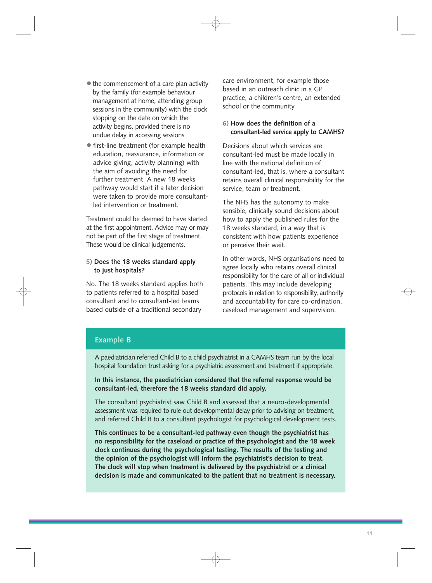- $\bullet$  the commencement of a care plan activity by the family (for example behaviour management at home, attending group sessions in the community) with the clock stopping on the date on which the activity begins, provided there is no undue delay in accessing sessions
- first-line treatment (for example health education, reassurance, information or advice giving, activity planning) with the aim of avoiding the need for further treatment. A new 18 weeks pathway would start if a later decision were taken to provide more consultantled intervention or treatment.

Treatment could be deemed to have started at the first appointment. Advice may or may not be part of the first stage of treatment. These would be clinical judgements.

## **5) Does the 18 weeks standard apply to just hospitals?**

No. The 18 weeks standard applies both to patients referred to a hospital based consultant and to consultant-led teams based outside of a traditional secondary

care environment, for example those based in an outreach clinic in a GP practice, a children's centre, an extended school or the community.

## **6) How does the definition of a consultant-led service apply to CAMHS?**

Decisions about which services are consultant-led must be made locally in line with the national definition of consultant-led, that is, where a consultant retains overall clinical responsibility for the service, team or treatment.

The NHS has the autonomy to make sensible, clinically sound decisions about how to apply the published rules for the 18 weeks standard, in a way that is consistent with how patients experience or perceive their wait.

In other words, NHS organisations need to agree locally who retains overall clinical responsibility for the care of all or individual patients. This may include developing protocols in relation to responsibility, authority and accountability for care co-ordination, caseload management and supervision.

## **Example B**

A paediatrician referred Child B to a child psychiatrist in a CAMHS team run by the local hospital foundation trust asking for a psychiatric assessment and treatment if appropriate.

## **In this instance, the paediatrician considered that the referral response would be consultant-led, therefore the 18 weeks standard did apply.**

The consultant psychiatrist saw Child B and assessed that a neuro-developmental assessment was required to rule out developmental delay prior to advising on treatment, and referred Child B to a consultant psychologist for psychological development tests.

**This continues to be a consultant-led pathway even though the psychiatrist has no responsibility for the caseload or practice of the psychologist and the 18 week clock continues during the psychological testing. The results of the testing and the opinion of the psychologist will inform the psychiatrist's decision to treat. The clock will stop when treatment is delivered by the psychiatrist or a clinical decision is made and communicated to the patient that no treatment is necessary.**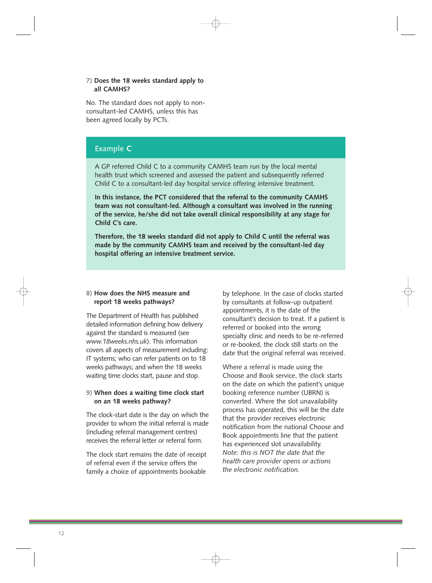## **7) Does the 18 weeks standard apply to all CAMHS?**

No. The standard does not apply to nonconsultant-led CAMHS, unless this has been agreed locally by PCTs.

## **Example C**

A GP referred Child C to a community CAMHS team run by the local mental health trust which screened and assessed the patient and subsequently referred Child C to a consultant-led day hospital service offering intensive treatment.

**In this instance, the PCT considered that the referral to the community CAMHS team was not consultant-led. Although a consultant was involved in the running of the service, he/she did not take overall clinical responsibility at any stage for Child C's care.** 

**Therefore, the 18 weeks standard did not apply to Child C until the referral was made by the community CAMHS team and received by the consultant-led day hospital offering an intensive treatment service.** 

## **8) How does the NHS measure and report 18 weeks pathways?**

The Department of Health has published detailed information defining how delivery against the standard is measured (see *www.18weeks.nhs.uk*). This information covers all aspects of measurement including: IT systems; who can refer patients on to 18 weeks pathways; and when the 18 weeks waiting time clocks start, pause and stop.

## **9) When does a waiting time clock start on an 18 weeks pathway?**

The clock-start date is the day on which the provider to whom the initial referral is made (including referral management centres) receives the referral letter or referral form.

The clock start remains the date of receipt of referral even if the service offers the family a choice of appointments bookable

by telephone. In the case of clocks started by consultants at follow-up outpatient appointments, it is the date of the consultant's decision to treat. If a patient is referred or booked into the wrong specialty clinic and needs to be re-referred or re-booked, the clock still starts on the date that the original referral was received.

Where a referral is made using the Choose and Book service, the clock starts on the date on which the patient's unique booking reference number (UBRN) is converted. Where the slot unavailability process has operated, this will be the date that the provider receives electronic notification from the national Choose and Book appointments line that the patient has experienced slot unavailability. *Note: this is NOT the date that the health care provider opens or actions the electronic notification.*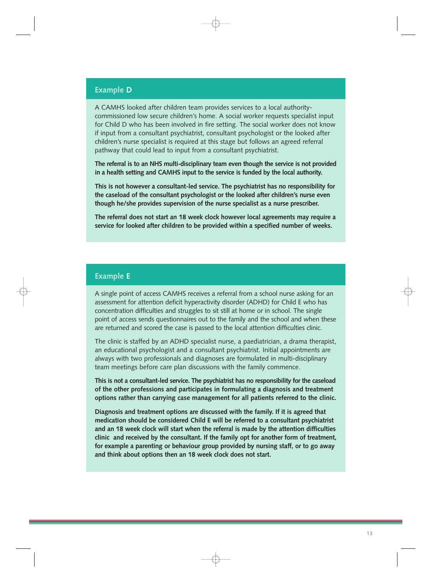## **Example D**

A CAMHS looked after children team provides services to a local authoritycommissioned low secure children's home. A social worker requests specialist input for Child D who has been involved in fire setting. The social worker does not know if input from a consultant psychiatrist, consultant psychologist or the looked after children's nurse specialist is required at this stage but follows an agreed referral pathway that could lead to input from a consultant psychiatrist.

**The referral is to an NHS multi-disciplinary team even though the service is not provided in a health setting and CAMHS input to the service is funded by the local authority.** 

**This is not however a consultant-led service. The psychiatrist has no responsibility for the caseload of the consultant psychologist or the looked after children's nurse even though he/she provides supervision of the nurse specialist as a nurse prescriber.** 

**The referral does not start an 18 week clock however local agreements may require a service for looked after children to be provided within a specified number of weeks.** 

## **Example E**

A single point of access CAMHS receives a referral from a school nurse asking for an assessment for attention deficit hyperactivity disorder (ADHD) for Child E who has concentration difficulties and struggles to sit still at home or in school. The single point of access sends questionnaires out to the family and the school and when these are returned and scored the case is passed to the local attention difficulties clinic.

The clinic is staffed by an ADHD specialist nurse, a paediatrician, a drama therapist, an educational psychologist and a consultant psychiatrist. Initial appointments are always with two professionals and diagnoses are formulated in multi-disciplinary team meetings before care plan discussions with the family commence.

**This is not a consultant-led service. The psychiatrist has no responsibility for the caseload of the other professions and participates in formulating a diagnosis and treatment options rather than carrying case management for all patients referred to the clinic.** 

**Diagnosis and treatment options are discussed with the family. If it is agreed that medication should be considered Child E will be referred to a consultant psychiatrist and an 18 week clock will start when the referral is made by the attention difficulties clinic and received by the consultant. If the family opt for another form of treatment, for example a parenting or behaviour group provided by nursing staff, or to go away and think about options then an 18 week clock does not start.**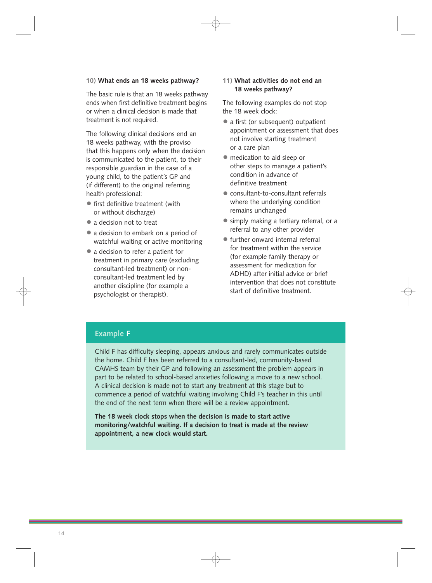#### **10) What ends an 18 weeks pathway?**

The basic rule is that an 18 weeks pathway ends when first definitive treatment begins or when a clinical decision is made that treatment is not required.

The following clinical decisions end an 18 weeks pathway, with the proviso that this happens only when the decision is communicated to the patient, to their responsible guardian in the case of a young child, to the patient's GP and (if different) to the original referring health professional:

- first definitive treatment (with or without discharge)
- a decision not to treat
- a decision to embark on a period of watchful waiting or active monitoring
- a decision to refer a patient for treatment in primary care (excluding consultant-led treatment) or nonconsultant-led treatment led by another discipline (for example a psychologist or therapist).

## **11) What activities do not end an 18 weeks pathway?**

The following examples do not stop the 18 week clock:

- a first (or subsequent) outpatient appointment or assessment that does not involve starting treatment or a care plan
- medication to aid sleep or other steps to manage a patient's condition in advance of definitive treatment
- consultant-to-consultant referrals where the underlying condition remains unchanged
- simply making a tertiary referral, or a referral to any other provider
- further onward internal referral for treatment within the service (for example family therapy or assessment for medication for ADHD) after initial advice or brief intervention that does not constitute start of definitive treatment.

## **Example F**

Child F has difficulty sleeping, appears anxious and rarely communicates outside the home. Child F has been referred to a consultant-led, community-based CAMHS team by their GP and following an assessment the problem appears in part to be related to school-based anxieties following a move to a new school. A clinical decision is made not to start any treatment at this stage but to commence a period of watchful waiting involving Child F's teacher in this until the end of the next term when there will be a review appointment.

**The 18 week clock stops when the decision is made to start active monitoring/watchful waiting. If a decision to treat is made at the review appointment, a new clock would start.**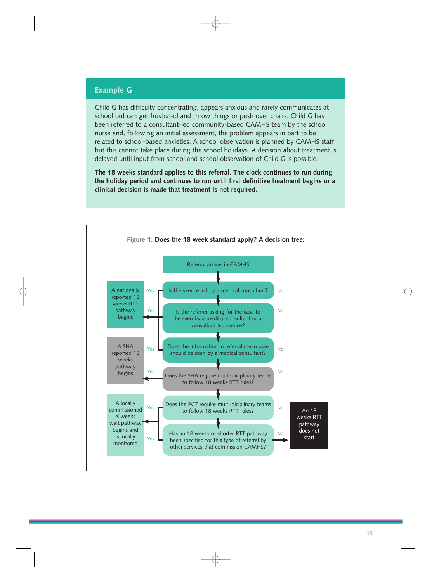## **Example G**

Child G has difficulty concentrating, appears anxious and rarely communicates at school but can get frustrated and throw things or push over chairs. Child G has been referred to a consultant-led community-based CAMHS team by the school nurse and, following an initial assessment, the problem appears in part to be related to school-based anxieties. A school observation is planned by CAMHS staff but this cannot take place during the school holidays. A decision about treatment is delayed until input from school and school observation of Child G is possible.

**The 18 weeks standard applies to this referral. The clock continues to run during the holiday period and continues to run until first definitive treatment begins or a clinical decision is made that treatment is not required.** 

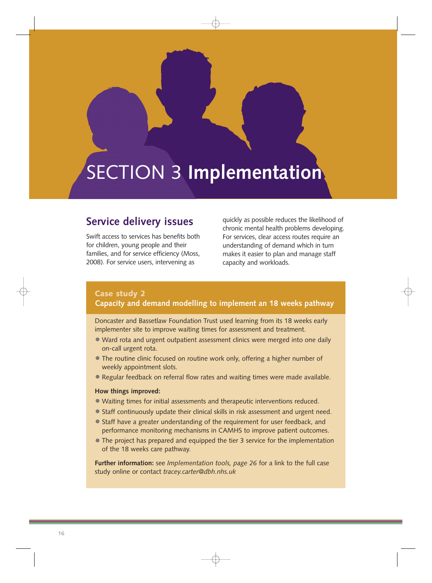# <span id="page-17-0"></span>SECTION 3 **Implementation**

## **Service delivery issues**

Swift access to services has benefits both for children, young people and their families, and for service efficiency (Moss, 2008). For service users, intervening as

quickly as possible reduces the likelihood of chronic mental health problems developing. For services, clear access routes require an understanding of demand which in turn makes it easier to plan and manage staff capacity and workloads.

## **Case study 2 Capacity and demand modelling to implement an 18 weeks pathway**

Doncaster and Bassetlaw Foundation Trust used learning from its 18 weeks early implementer site to improve waiting times for assessment and treatment.

- Ward rota and urgent outpatient assessment clinics were merged into one daily on-call urgent rota.
- The routine clinic focused on routine work only, offering a higher number of weekly appointment slots.
- Regular feedback on referral flow rates and waiting times were made available.

#### **How things improved:**

- Waiting times for initial assessments and therapeutic interventions reduced.
- Staff continuously update their clinical skills in risk assessment and urgent need.
- Staff have a greater understanding of the requirement for user feedback, and performance monitoring mechanisms in CAMHS to improve patient outcomes.
- The project has prepared and equipped the tier 3 service for the implementation of the 18 weeks care pathway.

**Further information:** see *Implementation tools, page 26* for a link to the full case study online or contact *tracey.carter@dbh.nhs.uk*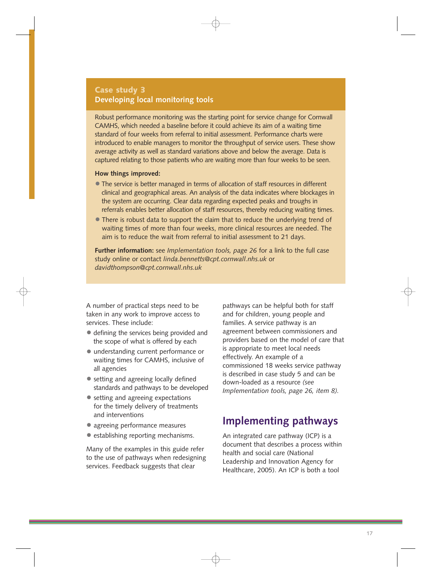## **Case study 3 Developing local monitoring tools**

Robust performance monitoring was the starting point for service change for Cornwall CAMHS, which needed a baseline before it could achieve its aim of a waiting time standard of four weeks from referral to initial assessment. Performance charts were introduced to enable managers to monitor the throughput of service users. These show average activity as well as standard variations above and below the average. Data is captured relating to those patients who are waiting more than four weeks to be seen.

#### **How things improved:**

- The service is better managed in terms of allocation of staff resources in different clinical and geographical areas. An analysis of the data indicates where blockages in the system are occurring. Clear data regarding expected peaks and troughs in referrals enables better allocation of staff resources, thereby reducing waiting times.
- There is robust data to support the claim that to reduce the underlying trend of waiting times of more than four weeks, more clinical resources are needed. The aim is to reduce the wait from referral to initial assessment to 21 days.

**Further information:** see *Implementation tools, page 26* for a link to the full case study online or contact *linda.bennetts@cpt.cornwall.nhs.uk* or *davidthompson@cpt.cornwall.nhs.uk* 

A number of practical steps need to be taken in any work to improve access to services. These include:

- defining the services being provided and the scope of what is offered by each
- understanding current performance or waiting times for CAMHS, inclusive of all agencies
- setting and agreeing locally defined standards and pathways to be developed
- setting and agreeing expectations for the timely delivery of treatments and interventions
- agreeing performance measures
- establishing reporting mechanisms.

Many of the examples in this guide refer to the use of pathways when redesigning services. Feedback suggests that clear

pathways can be helpful both for staff and for children, young people and families. A service pathway is an agreement between commissioners and providers based on the model of care that is appropriate to meet local needs effectively. An example of a commissioned 18 weeks service pathway is described in case study 5 and can be down-loaded as a resource *(see Implementation tools, page 26, item 8).* 

## **Implementing pathways**

An integrated care pathway (ICP) is a document that describes a process within health and social care (National Leadership and Innovation Agency for Healthcare, 2005). An ICP is both a tool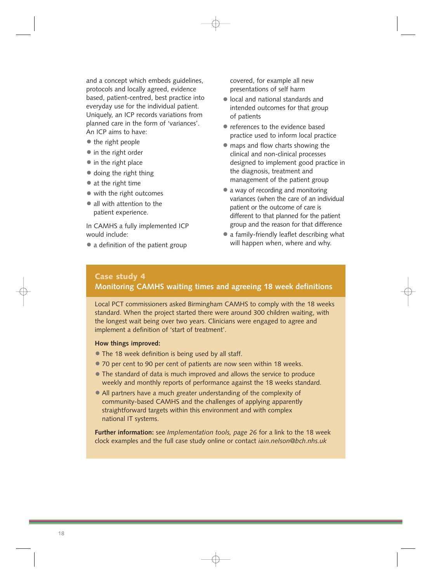and a concept which embeds guidelines, protocols and locally agreed, evidence based, patient-centred, best practice into everyday use for the individual patient. Uniquely, an ICP records variations from planned care in the form of 'variances'. An ICP aims to have:

- the right people
- in the right order
- in the right place
- doing the right thing
- at the right time
- with the right outcomes
- all with attention to the patient experience.

In CAMHS a fully implemented ICP would include:

• a definition of the patient group

covered, for example all new presentations of self harm

- local and national standards and intended outcomes for that group of patients
- references to the evidence based practice used to inform local practice
- maps and flow charts showing the clinical and non-clinical processes designed to implement good practice in the diagnosis, treatment and management of the patient group
- a way of recording and monitoring variances (when the care of an individual patient or the outcome of care is different to that planned for the patient group and the reason for that difference
- a family-friendly leaflet describing what will happen when, where and why.

## **Case study 4 Monitoring CAMHS waiting times and agreeing 18 week definitions**

Local PCT commissioners asked Birmingham CAMHS to comply with the 18 weeks standard. When the project started there were around 300 children waiting, with the longest wait being over two years. Clinicians were engaged to agree and implement a definition of 'start of treatment'.

### **How things improved:**

- The 18 week definition is being used by all staff.
- 70 per cent to 90 per cent of patients are now seen within 18 weeks.
- The standard of data is much improved and allows the service to produce weekly and monthly reports of performance against the 18 weeks standard.
- All partners have a much greater understanding of the complexity of community-based CAMHS and the challenges of applying apparently straightforward targets within this environment and with complex national IT systems.

**Further information:** see *Implementation tools, page 26* for a link to the 18 week clock examples and the full case study online or contact *iain.nelson@bch.nhs.uk*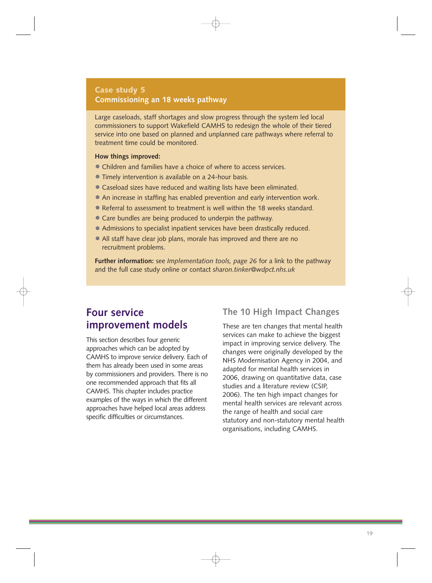## **Case study 5 Commissioning an 18 weeks pathway**

Large caseloads, staff shortages and slow progress through the system led local commissioners to support Wakefield CAMHS to redesign the whole of their tiered service into one based on planned and unplanned care pathways where referral to treatment time could be monitored.

## **How things improved:**

- Children and families have a choice of where to access services.
- Timely intervention is available on a 24-hour basis.
- Caseload sizes have reduced and waiting lists have been eliminated.
- An increase in staffing has enabled prevention and early intervention work.
- Referral to assessment to treatment is well within the 18 weeks standard.
- Care bundles are being produced to underpin the pathway.
- Admissions to specialist inpatient services have been drastically reduced.
- All staff have clear job plans, morale has improved and there are no recruitment problems.

**Further information:** see *Implementation tools, page 26* for a link to the pathway and the full case study online or contact *sharon.tinker@wdpct.nhs.uk* 

## **Four service improvement models**

This section describes four generic approaches which can be adopted by CAMHS to improve service delivery. Each of them has already been used in some areas by commissioners and providers. There is no one recommended approach that fits all CAMHS. This chapter includes practice examples of the ways in which the different approaches have helped local areas address specific difficulties or circumstances.

## **The 10 High Impact Changes**

These are ten changes that mental health services can make to achieve the biggest impact in improving service delivery. The changes were originally developed by the NHS Modernisation Agency in 2004, and adapted for mental health services in 2006, drawing on quantitative data, case studies and a literature review (CSIP, 2006). The ten high impact changes for mental health services are relevant across the range of health and social care statutory and non-statutory mental health organisations, including CAMHS.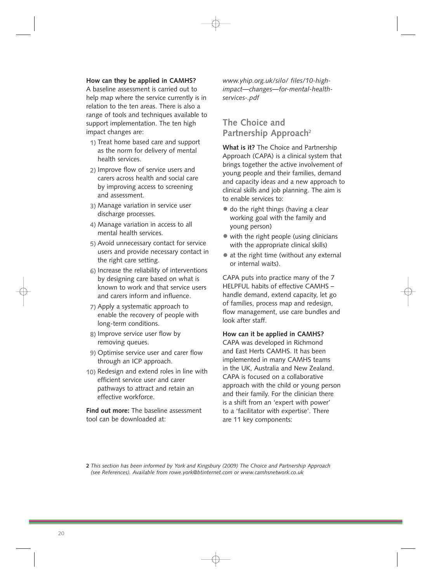## **How can they be applied in CAMHS?**

A baseline assessment is carried out to help map where the service currently is in relation to the ten areas. There is also a range of tools and techniques available to support implementation. The ten high impact changes are:

- **1)** Treat home based care and support as the norm for delivery of mental health services.
- **2)** Improve flow of service users and carers across health and social care by improving access to screening and assessment.
- **3)** Manage variation in service user discharge processes.
- **4)** Manage variation in access to all mental health services.
- **5)** Avoid unnecessary contact for service users and provide necessary contact in the right care setting.
- **6)** Increase the reliability of interventions by designing care based on what is known to work and that service users and carers inform and influence.
- **7)** Apply a systematic approach to enable the recovery of people with long-term conditions.
- **8)** Improve service user flow by removing queues.
- **9)** Optimise service user and carer flow through an ICP approach.
- **10)** Redesign and extend roles in line with efficient service user and carer pathways to attract and retain an effective workforce.

**Find out more:** The baseline assessment tool can be downloaded at:

*www.yhip.org.uk/silo/ files/10-highimpact—changes—for-mental-healthservices-.pdf* 

## **The Choice and Partnership Approach2**

**What is it?** The Choice and Partnership Approach (CAPA) is a clinical system that brings together the active involvement of young people and their families, demand and capacity ideas and a new approach to clinical skills and job planning. The aim is to enable services to:

- do the right things (having a clear working goal with the family and young person)
- with the right people (using clinicians with the appropriate clinical skills)
- at the right time (without any external or internal waits).

CAPA puts into practice many of the 7 HELPFUL habits of effective CAMHS – handle demand, extend capacity, let go of families, process map and redesign, flow management, use care bundles and look after staff.

## **How can it be applied in CAMHS?**

CAPA was developed in Richmond and East Herts CAMHS. It has been implemented in many CAMHS teams in the UK, Australia and New Zealand. CAPA is focused on a collaborative approach with the child or young person and their family. For the clinician there is a shift from an 'expert with power' to a 'facilitator with expertise'. There are 11 key components:

**2** *This section has been informed by York and Kingsbury (2009) The Choice and Partnership Approach (see References). Available from rowe.york@btinternet.com or www.camhsnetwork.co.uk*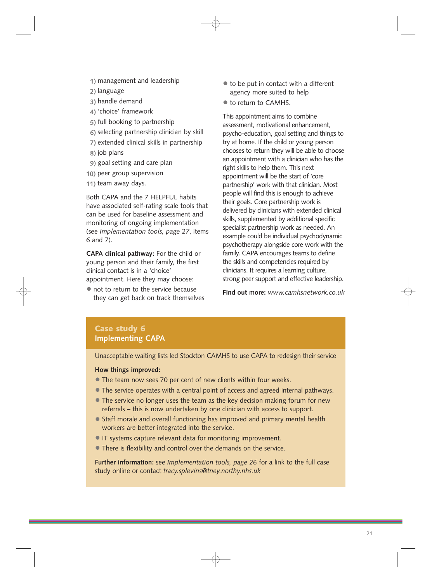- **1)** management and leadership
- **2)** language
- **3)** handle demand
- **4)** 'choice' framework
- **5)** full booking to partnership
- **6)** selecting partnership clinician by skill
- **7)** extended clinical skills in partnership
- **8)** job plans
- **9)** goal setting and care plan
- **10)** peer group supervision
- **11)** team away days.

Both CAPA and the 7 HELPFUL habits have associated self-rating scale tools that can be used for baseline assessment and monitoring of ongoing implementation (see *Implementation tools, page 27*, items 6 and 7).

**CAPA clinical pathway:** For the child or young person and their family, the first clinical contact is in a 'choice' appointment. Here they may choose:

• not to return to the service because they can get back on track themselves

- to be put in contact with a different agency more suited to help
- $\bullet$  to return to CAMHS.

This appointment aims to combine assessment, motivational enhancement, psycho-education, goal setting and things to try at home. If the child or young person chooses to return they will be able to choose an appointment with a clinician who has the right skills to help them. This next appointment will be the start of 'core partnership' work with that clinician. Most people will find this is enough to achieve their goals. Core partnership work is delivered by clinicians with extended clinical skills, supplemented by additional specific specialist partnership work as needed. An example could be individual psychodynamic psychotherapy alongside core work with the family. CAPA encourages teams to define the skills and competencies required by clinicians. It requires a learning culture, strong peer support and effective leadership.

**Find out more:** *www.camhsnetwork.co.uk* 

## **Case study 6 Implementing CAPA**

Unacceptable waiting lists led Stockton CAMHS to use CAPA to redesign their service

#### **How things improved:**

- The team now sees 70 per cent of new clients within four weeks.
- The service operates with a central point of access and agreed internal pathways.
- The service no longer uses the team as the key decision making forum for new referrals – this is now undertaken by one clinician with access to support.
- Staff morale and overall functioning has improved and primary mental health workers are better integrated into the service.
- IT systems capture relevant data for monitoring improvement.
- There is flexibility and control over the demands on the service.

**Further information:** see *Implementation tools, page 26* for a link to the full case study online or contact *tracy.splevins@tney.northy.nhs.uk*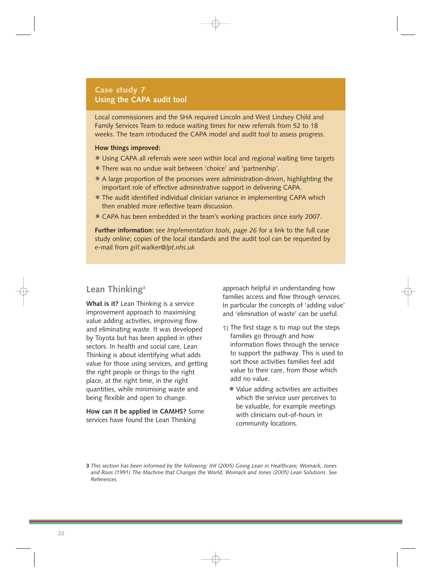## **Case study 7 Using the CAPA audit tool**

Local commissioners and the SHA required Lincoln and West Lindsey Child and Family Services Team to reduce waiting times for new referrals from 52 to 18 weeks. The team introduced the CAPA model and audit tool to assess progress.

### **How things improved:**

- Using CAPA all referrals were seen within local and regional waiting time targets
- There was no undue wait between 'choice' and 'partnership'.
- A large proportion of the processes were administration-driven, highlighting the important role of effective administrative support in delivering CAPA.
- The audit identified individual clinician variance in implementing CAPA which then enabled more reflective team discussion.
- CAPA has been embedded in the team's working practices since early 2007.

**Further information:** see *Implementation tools, page 26* for a link to the full case study online; copies of the local standards and the audit tool can be requested by e-mail from *gill.walker@lpt.nhs.uk* 

## **Lean Thinking3**

**What is it?** Lean Thinking is a service improvement approach to maximising value adding activities, improving flow and eliminating waste. It was developed by Toyota but has been applied in other sectors. In health and social care, Lean Thinking is about identifying what adds value for those using services, and getting the right people or things to the right place, at the right time, in the right quantities, while minimising waste and being flexible and open to change.

**How can it be applied in CAMHS?** Some services have found the Lean Thinking

approach helpful in understanding how families access and flow through services. In particular the concepts of 'adding value' and 'elimination of waste' can be useful.

- **1)** The first stage is to map out the steps families go through and how information flows through the service to support the pathway. This is used to sort those activities families feel add value to their care, from those which add no value.
	- Value adding activities are activities which the service user perceives to be valuable, for example meetings with clinicians out-of-hours in community locations.

**<sup>3</sup>** *This section has been informed by the following: IHI (2005) Going Lean in Healthcare; Womack, Jones and Roos (1991) The Machine that Changes the World; Womack and Jones (2005) Lean Solutions. See References.*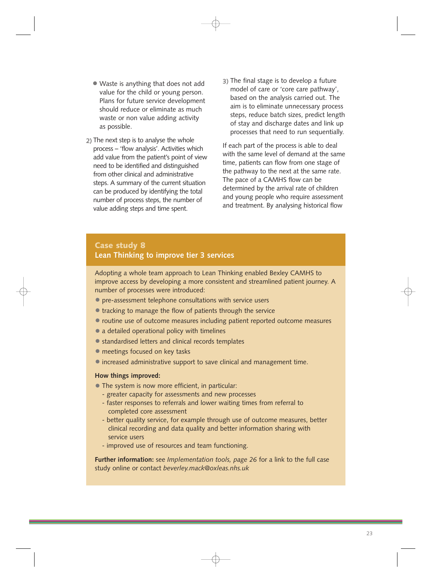- Waste is anything that does not add value for the child or young person. Plans for future service development should reduce or eliminate as much waste or non value adding activity as possible.
- **2)** The next step is to analyse the whole process – 'flow analysis'. Activities which add value from the patient's point of view need to be identified and distinguished from other clinical and administrative steps. A summary of the current situation can be produced by identifying the total number of process steps, the number of value adding steps and time spent.
- **3)** The final stage is to develop a future model of care or 'core care pathway', based on the analysis carried out. The aim is to eliminate unnecessary process steps, reduce batch sizes, predict length of stay and discharge dates and link up processes that need to run sequentially.

If each part of the process is able to deal with the same level of demand at the same time, patients can flow from one stage of the pathway to the next at the same rate. The pace of a CAMHS flow can be determined by the arrival rate of children and young people who require assessment and treatment. By analysing historical flow

## **Case study 8 Lean Thinking to improve tier 3 services**

Adopting a whole team approach to Lean Thinking enabled Bexley CAMHS to improve access by developing a more consistent and streamlined patient journey. A number of processes were introduced:

- pre-assessment telephone consultations with service users
- tracking to manage the flow of patients through the service
- routine use of outcome measures including patient reported outcome measures
- a detailed operational policy with timelines
- standardised letters and clinical records templates
- meetings focused on key tasks
- increased administrative support to save clinical and management time.

## **How things improved:**

- The system is now more efficient, in particular:
	- greater capacity for assessments and new processes
	- faster responses to referrals and lower waiting times from referral to completed core assessment
	- better quality service, for example through use of outcome measures, better clinical recording and data quality and better information sharing with service users
	- improved use of resources and team functioning.

**Further information:** see *Implementation tools, page 26* for a link to the full case study online or contact *beverley.mack@oxleas.nhs.uk*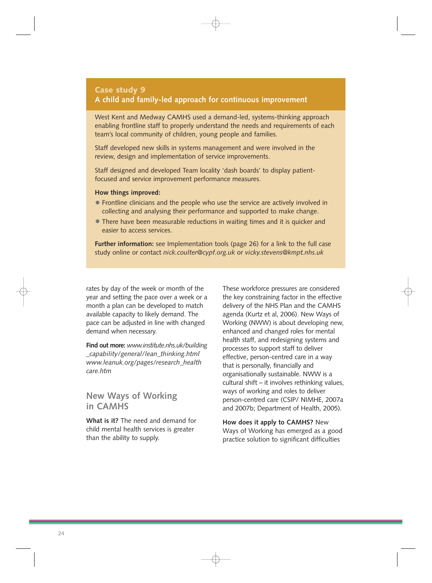## **Case study 9 A child and family-led approach for continuous improvement**

West Kent and Medway CAMHS used a demand-led, systems-thinking approach enabling frontline staff to properly understand the needs and requirements of each team's local community of children, young people and families.

Staff developed new skills in systems management and were involved in the review, design and implementation of service improvements.

Staff designed and developed Team locality 'dash boards' to display patientfocused and service improvement performance measures.

#### **How things improved:**

- Frontline clinicians and the people who use the service are actively involved in collecting and analysing their performance and supported to make change.
- There have been measurable reductions in waiting times and it is quicker and easier to access services.

**Further information:** see Implementation tools (page 26) for a link to the full case study online or contact *nick.coulter@cypf.org.uk* or *vicky.stevens@kmpt.nhs.uk* 

rates by day of the week or month of the year and setting the pace over a week or a month a plan can be developed to match available capacity to likely demand. The pace can be adjusted in line with changed demand when necessary.

**Find out more:** *www.institute.nhs.uk/building \_capability/general/lean\_thinking.html www.leanuk.org/pages/research\_health care.htm* 

## **New Ways of Working in CAMHS**

**What is it?** The need and demand for child mental health services is greater than the ability to supply.

These workforce pressures are considered the key constraining factor in the effective delivery of the NHS Plan and the CAMHS agenda (Kurtz et al, 2006). New Ways of Working (NWW) is about developing new, enhanced and changed roles for mental health staff, and redesigning systems and processes to support staff to deliver effective, person-centred care in a way that is personally, financially and organisationally sustainable. NWW is a cultural shift – it involves rethinking values, ways of working and roles to deliver person-centred care (CSIP/ NIMHE, 2007a and 2007b; Department of Health, 2005).

**How does it apply to CAMHS?** New Ways of Working has emerged as a good practice solution to significant difficulties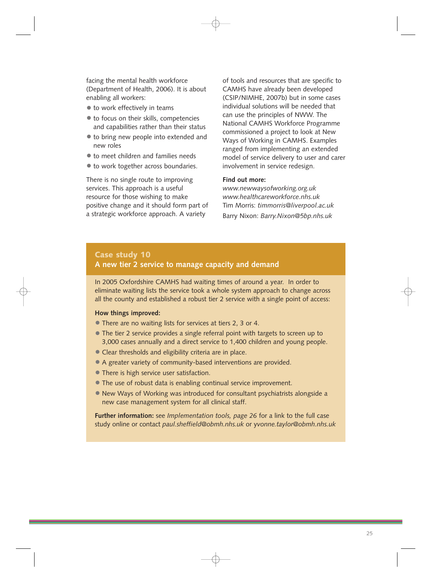facing the mental health workforce (Department of Health, 2006). It is about enabling all workers:

- to work effectively in teams
- to focus on their skills, competencies and capabilities rather than their status
- to bring new people into extended and new roles
- to meet children and families needs
- to work together across boundaries.

There is no single route to improving services. This approach is a useful resource for those wishing to make positive change and it should form part of a strategic workforce approach. A variety

of tools and resources that are specific to CAMHS have already been developed (CSIP/NIMHE, 2007b) but in some cases individual solutions will be needed that can use the principles of NWW. The National CAMHS Workforce Programme commissioned a project to look at New Ways of Working in CAMHS. Examples ranged from implementing an extended model of service delivery to user and carer involvement in service redesign.

## **Find out more:**

*www.newwaysofworking.org.uk www.healthcareworkforce.nhs.uk*  Tim Morris: *timmorris@liverpool.ac.uk*  Barry Nixon: *Barry.Nixon@5bp.nhs.uk* 

## **Case study 10 A new tier 2 service to manage capacity and demand**

In 2005 Oxfordshire CAMHS had waiting times of around a year. In order to eliminate waiting lists the service took a whole system approach to change across all the county and established a robust tier 2 service with a single point of access:

## **How things improved:**

- There are no waiting lists for services at tiers 2, 3 or 4.
- The tier 2 service provides a single referral point with targets to screen up to 3,000 cases annually and a direct service to 1,400 children and young people.
- Clear thresholds and eligibility criteria are in place.
- A greater variety of community-based interventions are provided.
- There is high service user satisfaction.
- The use of robust data is enabling continual service improvement.
- New Ways of Working was introduced for consultant psychiatrists alongside a new case management system for all clinical staff.

**Further information:** see *Implementation tools, page 26* for a link to the full case study online or contact *paul.sheffield@obmh.nhs.uk* or y*vonne.taylor@obmh.nhs.uk*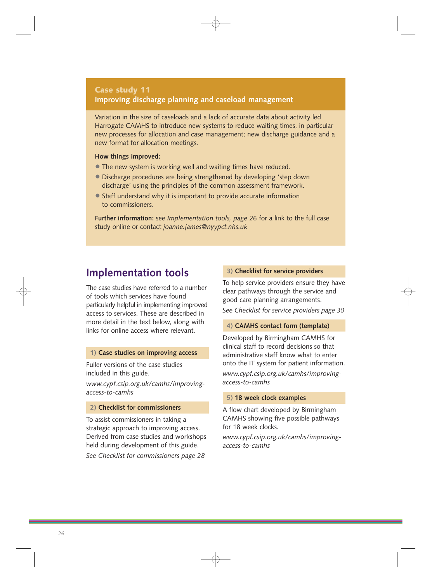## **Case study 11 Improving discharge planning and caseload management**

Variation in the size of caseloads and a lack of accurate data about activity led Harrogate CAMHS to introduce new systems to reduce waiting times, in particular new processes for allocation and case management; new discharge guidance and a new format for allocation meetings.

## **How things improved:**

- The new system is working well and waiting times have reduced.
- Discharge procedures are being strengthened by developing 'step down discharge' using the principles of the common assessment framework.
- Staff understand why it is important to provide accurate information to commissioners.

**Further information:** see *Implementation tools, page 26* for a link to the full case study online or contact *joanne.james@nyypct.nhs.uk* 

## **Implementation tools**

The case studies have referred to a number of tools which services have found particularly helpful in implementing improved access to services. These are described in more detail in the text below, along with links for online access where relevant.

### **1) Case studies on improving access**

Fuller versions of the case studies included in this guide.

*www.cypf.csip.org.uk/camhs/improvingaccess-to-camhs* 

### **2) Checklist for commissioners**

To assist commissioners in taking a strategic approach to improving access. Derived from case studies and workshops held during development of this guide. *See Checklist for commissioners page 28* 

## **3) Checklist for service providers**

To help service providers ensure they have clear pathways through the service and good care planning arrangements. *See Checklist for service providers page 30* 

#### **4) CAMHS contact form (template)**

Developed by Birmingham CAMHS for clinical staff to record decisions so that administrative staff know what to enter onto the IT system for patient information. *www.cypf.csip.org.uk/camhs/improvingaccess-to-camhs* 

### **5) 18 week clock examples**

A flow chart developed by Birmingham CAMHS showing five possible pathways for 18 week clocks.

*www.cypf.csip.org.uk/camhs/improvingaccess-to-camhs*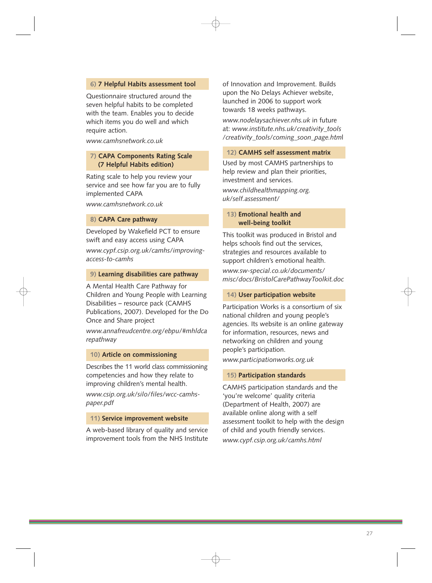## **6) 7 Helpful Habits assessment tool**

Questionnaire structured around the seven helpful habits to be completed with the team. Enables you to decide which items you do well and which require action.

*www.camhsnetwork.co.uk* 

## **7) CAPA Components Rating Scale (7 Helpful Habits edition)**

Rating scale to help you review your service and see how far you are to fully implemented CAPA

*www.camhsnetwork.co.uk* 

## **8) CAPA Care pathway**

Developed by Wakefield PCT to ensure swift and easy access using CAPA

*www.cypf.csip.org.uk/camhs/improvingaccess-to-camhs* 

#### **9) Learning disabilities care pathway**

A Mental Health Care Pathway for Children and Young People with Learning Disabilities – resource pack (CAMHS Publications, 2007). Developed for the Do Once and Share project

*www.annafreudcentre.org/ebpu/#mhldca repathway* 

## **10) Article on commissioning**

Describes the 11 world class commissioning competencies and how they relate to improving children's mental health.

*www.csip.org.uk/silo/files/wcc-camhspaper.pdf* 

## **11) Service improvement website**

A web-based library of quality and service improvement tools from the NHS Institute of Innovation and Improvement. Builds upon the No Delays Achiever website, launched in 2006 to support work towards 18 weeks pathways.

*www.nodelaysachiever.nhs.uk* in future at: *www.institute.nhs.uk/creativity\_tools /creativity\_tools/coming\_soon\_page.htm*l

### **12) CAMHS self assessment matrix**

Used by most CAMHS partnerships to help review and plan their priorities, investment and services.

*www.childhealthmapping.org. uk/self.assessment/* 

## **13) Emotional health and well-being toolkit**

This toolkit was produced in Bristol and helps schools find out the services, strategies and resources available to support children's emotional health.

*www.sw-special.co.uk/documents/ misc/docs/BristolCarePathwayToolkit.doc* 

#### **14) User participation website**

Participation Works is a consortium of six national children and young people's agencies. Its website is an online gateway for information, resources, news and networking on children and young people's participation.

*www.participationworks.org.uk* 

#### **15) Participation standards**

CAMHS participation standards and the 'you're welcome' quality criteria (Department of Health, 2007) are available online along with a self assessment toolkit to help with the design of child and youth friendly services.

*www.cypf.csip.org.uk/camhs.html*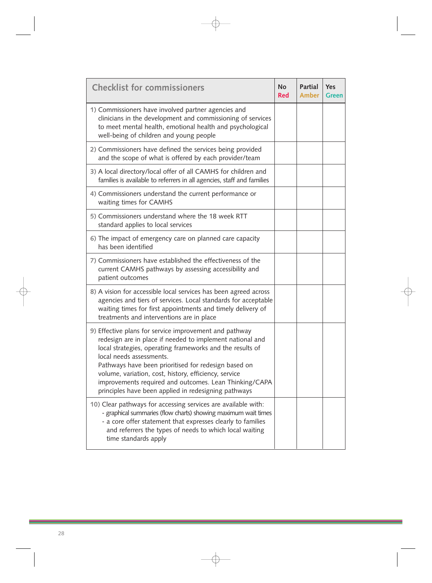| <b>Checklist for commissioners</b>                                                                                                                                                                                                                                                                                                                                                                                                              | <b>No</b><br><b>Red</b> | <b>Partial</b><br><b>Amber</b> | <b>Yes</b><br><b>Green</b> |
|-------------------------------------------------------------------------------------------------------------------------------------------------------------------------------------------------------------------------------------------------------------------------------------------------------------------------------------------------------------------------------------------------------------------------------------------------|-------------------------|--------------------------------|----------------------------|
| 1) Commissioners have involved partner agencies and<br>clinicians in the development and commissioning of services<br>to meet mental health, emotional health and psychological<br>well-being of children and young people                                                                                                                                                                                                                      |                         |                                |                            |
| 2) Commissioners have defined the services being provided<br>and the scope of what is offered by each provider/team                                                                                                                                                                                                                                                                                                                             |                         |                                |                            |
| 3) A local directory/local offer of all CAMHS for children and<br>families is available to referrers in all agencies, staff and families                                                                                                                                                                                                                                                                                                        |                         |                                |                            |
| 4) Commissioners understand the current performance or<br>waiting times for CAMHS                                                                                                                                                                                                                                                                                                                                                               |                         |                                |                            |
| 5) Commissioners understand where the 18 week RTT<br>standard applies to local services                                                                                                                                                                                                                                                                                                                                                         |                         |                                |                            |
| 6) The impact of emergency care on planned care capacity<br>has been identified                                                                                                                                                                                                                                                                                                                                                                 |                         |                                |                            |
| 7) Commissioners have established the effectiveness of the<br>current CAMHS pathways by assessing accessibility and<br>patient outcomes                                                                                                                                                                                                                                                                                                         |                         |                                |                            |
| 8) A vision for accessible local services has been agreed across<br>agencies and tiers of services. Local standards for acceptable<br>waiting times for first appointments and timely delivery of<br>treatments and interventions are in place                                                                                                                                                                                                  |                         |                                |                            |
| 9) Effective plans for service improvement and pathway<br>redesign are in place if needed to implement national and<br>local strategies, operating frameworks and the results of<br>local needs assessments.<br>Pathways have been prioritised for redesign based on<br>volume, variation, cost, history, efficiency, service<br>improvements required and outcomes. Lean Thinking/CAPA<br>principles have been applied in redesigning pathways |                         |                                |                            |
| 10) Clear pathways for accessing services are available with:<br>- graphical summaries (flow charts) showing maximum wait times<br>- a core offer statement that expresses clearly to families<br>and referrers the types of needs to which local waiting<br>time standards apply                                                                                                                                                               |                         |                                |                            |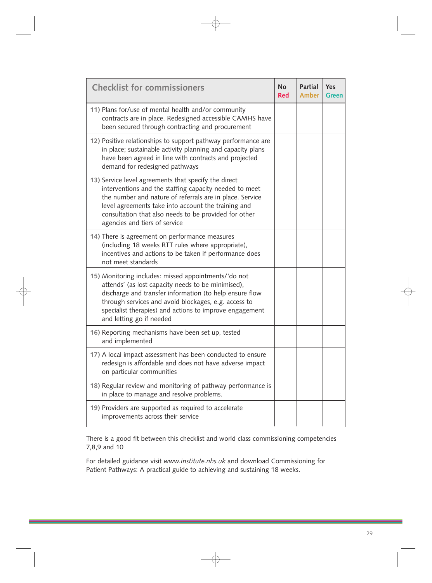| <b>Checklist for commissioners</b>                                                                                                                                                                                                                                                                                          | <b>No</b><br><b>Red</b> | <b>Partial</b><br><b>Amber</b> | Yes<br><b>Green</b> |
|-----------------------------------------------------------------------------------------------------------------------------------------------------------------------------------------------------------------------------------------------------------------------------------------------------------------------------|-------------------------|--------------------------------|---------------------|
| 11) Plans for/use of mental health and/or community<br>contracts are in place. Redesigned accessible CAMHS have<br>been secured through contracting and procurement                                                                                                                                                         |                         |                                |                     |
| 12) Positive relationships to support pathway performance are<br>in place; sustainable activity planning and capacity plans<br>have been agreed in line with contracts and projected<br>demand for redesigned pathways                                                                                                      |                         |                                |                     |
| 13) Service level agreements that specify the direct<br>interventions and the staffing capacity needed to meet<br>the number and nature of referrals are in place. Service<br>level agreements take into account the training and<br>consultation that also needs to be provided for other<br>agencies and tiers of service |                         |                                |                     |
| 14) There is agreement on performance measures<br>(including 18 weeks RTT rules where appropriate),<br>incentives and actions to be taken if performance does<br>not meet standards                                                                                                                                         |                         |                                |                     |
| 15) Monitoring includes: missed appointments/'do not<br>attends' (as lost capacity needs to be minimised),<br>discharge and transfer information (to help ensure flow<br>through services and avoid blockages, e.g. access to<br>specialist therapies) and actions to improve engagement<br>and letting go if needed        |                         |                                |                     |
| 16) Reporting mechanisms have been set up, tested<br>and implemented                                                                                                                                                                                                                                                        |                         |                                |                     |
| 17) A local impact assessment has been conducted to ensure<br>redesign is affordable and does not have adverse impact<br>on particular communities                                                                                                                                                                          |                         |                                |                     |
| 18) Regular review and monitoring of pathway performance is<br>in place to manage and resolve problems.                                                                                                                                                                                                                     |                         |                                |                     |
| 19) Providers are supported as required to accelerate<br>improvements across their service                                                                                                                                                                                                                                  |                         |                                |                     |

There is a good fit between this checklist and world class commissioning competencies 7,8,9 and 10

For detailed guidance visit *www.institute.nhs.uk* and download Commissioning for Patient Pathways: A practical guide to achieving and sustaining 18 weeks.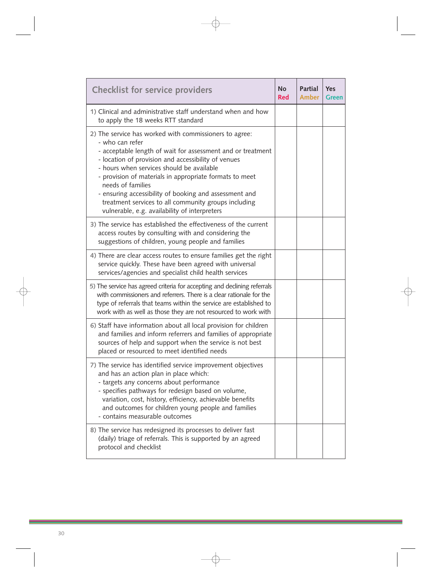| <b>Checklist for service providers</b>                                                                                                                                                                                                                                                                                                                                                                                                                                                          | <b>No</b><br><b>Red</b> | <b>Partial</b><br><b>Amber</b> | <b>Yes</b><br><b>Green</b> |
|-------------------------------------------------------------------------------------------------------------------------------------------------------------------------------------------------------------------------------------------------------------------------------------------------------------------------------------------------------------------------------------------------------------------------------------------------------------------------------------------------|-------------------------|--------------------------------|----------------------------|
| 1) Clinical and administrative staff understand when and how<br>to apply the 18 weeks RTT standard                                                                                                                                                                                                                                                                                                                                                                                              |                         |                                |                            |
| 2) The service has worked with commissioners to agree:<br>- who can refer<br>- acceptable length of wait for assessment and or treatment<br>- location of provision and accessibility of venues<br>- hours when services should be available<br>- provision of materials in appropriate formats to meet<br>needs of families<br>- ensuring accessibility of booking and assessment and<br>treatment services to all community groups including<br>vulnerable, e.g. availability of interpreters |                         |                                |                            |
| 3) The service has established the effectiveness of the current<br>access routes by consulting with and considering the<br>suggestions of children, young people and families                                                                                                                                                                                                                                                                                                                   |                         |                                |                            |
| 4) There are clear access routes to ensure families get the right<br>service quickly. These have been agreed with universal<br>services/agencies and specialist child health services                                                                                                                                                                                                                                                                                                           |                         |                                |                            |
| 5) The service has agreed criteria for accepting and declining referrals<br>with commissioners and referrers. There is a clear rationale for the<br>type of referrals that teams within the service are established to<br>work with as well as those they are not resourced to work with                                                                                                                                                                                                        |                         |                                |                            |
| 6) Staff have information about all local provision for children<br>and families and inform referrers and families of appropriate<br>sources of help and support when the service is not best<br>placed or resourced to meet identified needs                                                                                                                                                                                                                                                   |                         |                                |                            |
| 7) The service has identified service improvement objectives<br>and has an action plan in place which:<br>- targets any concerns about performance<br>- specifies pathways for redesign based on volume,<br>variation, cost, history, efficiency, achievable benefits<br>and outcomes for children young people and families<br>- contains measurable outcomes                                                                                                                                  |                         |                                |                            |
| 8) The service has redesigned its processes to deliver fast<br>(daily) triage of referrals. This is supported by an agreed<br>protocol and checklist                                                                                                                                                                                                                                                                                                                                            |                         |                                |                            |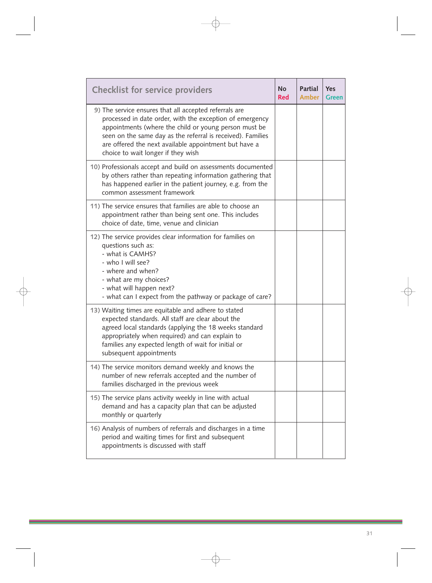| <b>Checklist for service providers</b>                                                                                                                                                                                                                                                                                                    | <b>No</b><br><b>Red</b> | <b>Partial</b><br>Amber | <b>Yes</b><br><b>Green</b> |
|-------------------------------------------------------------------------------------------------------------------------------------------------------------------------------------------------------------------------------------------------------------------------------------------------------------------------------------------|-------------------------|-------------------------|----------------------------|
| 9) The service ensures that all accepted referrals are<br>processed in date order, with the exception of emergency<br>appointments (where the child or young person must be<br>seen on the same day as the referral is received). Families<br>are offered the next available appointment but have a<br>choice to wait longer if they wish |                         |                         |                            |
| 10) Professionals accept and build on assessments documented<br>by others rather than repeating information gathering that<br>has happened earlier in the patient journey, e.g. from the<br>common assessment framework                                                                                                                   |                         |                         |                            |
| 11) The service ensures that families are able to choose an<br>appointment rather than being sent one. This includes<br>choice of date, time, venue and clinician                                                                                                                                                                         |                         |                         |                            |
| 12) The service provides clear information for families on<br>questions such as:<br>- what is CAMHS?<br>- who I will see?<br>- where and when?<br>- what are my choices?<br>- what will happen next?<br>- what can I expect from the pathway or package of care?                                                                          |                         |                         |                            |
| 13) Waiting times are equitable and adhere to stated<br>expected standards. All staff are clear about the<br>agreed local standards (applying the 18 weeks standard<br>appropriately when required) and can explain to<br>families any expected length of wait for initial or<br>subsequent appointments                                  |                         |                         |                            |
| 14) The service monitors demand weekly and knows the<br>number of new referrals accepted and the number of<br>families discharged in the previous week                                                                                                                                                                                    |                         |                         |                            |
| 15) The service plans activity weekly in line with actual<br>demand and has a capacity plan that can be adjusted<br>monthly or quarterly                                                                                                                                                                                                  |                         |                         |                            |
| 16) Analysis of numbers of referrals and discharges in a time<br>period and waiting times for first and subsequent<br>appointments is discussed with staff                                                                                                                                                                                |                         |                         |                            |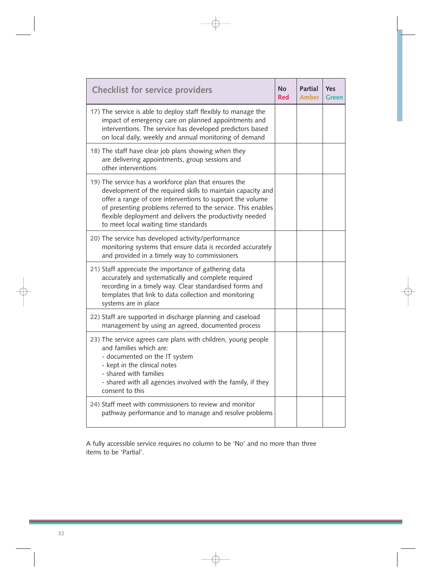| <b>Checklist for service providers</b>                                                                                                                                                                                                                                                                                                                | <b>No</b><br><b>Red</b> | Partial<br><b>Amber</b> | <b>Yes</b><br><b>Green</b> |
|-------------------------------------------------------------------------------------------------------------------------------------------------------------------------------------------------------------------------------------------------------------------------------------------------------------------------------------------------------|-------------------------|-------------------------|----------------------------|
| 17) The service is able to deploy staff flexibly to manage the<br>impact of emergency care on planned appointments and<br>interventions. The service has developed predictors based<br>on local daily, weekly and annual monitoring of demand                                                                                                         |                         |                         |                            |
| 18) The staff have clear job plans showing when they<br>are delivering appointments, group sessions and<br>other interventions                                                                                                                                                                                                                        |                         |                         |                            |
| 19) The service has a workforce plan that ensures the<br>development of the required skills to maintain capacity and<br>offer a range of core interventions to support the volume<br>of presenting problems referred to the service. This enables<br>flexible deployment and delivers the productivity needed<br>to meet local waiting time standards |                         |                         |                            |
| 20) The service has developed activity/performance<br>monitoring systems that ensure data is recorded accurately<br>and provided in a timely way to commissioners                                                                                                                                                                                     |                         |                         |                            |
| 21) Staff appreciate the importance of gathering data<br>accurately and systematically and complete required<br>recording in a timely way. Clear standardised forms and<br>templates that link to data collection and monitoring<br>systems are in place                                                                                              |                         |                         |                            |
| 22) Staff are supported in discharge planning and caseload<br>management by using an agreed, documented process                                                                                                                                                                                                                                       |                         |                         |                            |
| 23) The service agrees care plans with children, young people<br>and families which are:<br>- documented on the IT system<br>- kept in the clinical notes<br>- shared with families<br>- shared with all agencies involved with the family, if they<br>consent to this                                                                                |                         |                         |                            |
| 24) Staff meet with commissioners to review and monitor<br>pathway performance and to manage and resolve problems                                                                                                                                                                                                                                     |                         |                         |                            |

A fully accessible service requires no column to be 'No' and no more than three items to be 'Partial'.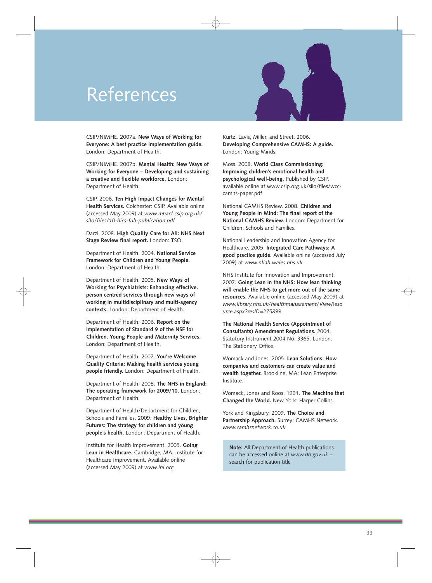# <span id="page-34-0"></span>References



CSIP/NIMHE. 2007a. **New Ways of Working for Everyone: A best practice implementation guide.**  London: Department of Health.

CSIP/NIMHE. 2007b. **Mental Health: New Ways of Working for Everyone – Developing and sustaining a creative and flexible workforce.** London: Department of Health.

CSIP. 2006. **Ten High Impact Changes for Mental Health Services.** Colchester: CSIP. Available online (accessed May 2009) at *www.mhact.csip.org.uk/ silo/files/10-hics-full-publication.pdf* 

Darzi. 2008. **High Quality Care for All: NHS Next Stage Review final report.** London: TSO.

Department of Health. 2004. **National Service Framework for Children and Young People.**  London: Department of Health.

Department of Health. 2005. **New Ways of Working for Psychiatrists: Enhancing effective, person centred services through new ways of working in multidisciplinary and multi-agency contexts.** London: Department of Health.

Department of Health. 2006. **Report on the Implementation of Standard 9 of the NSF for Children, Young People and Maternity Services.**  London: Department of Health.

Department of Health. 2007. **You're Welcome Quality Criteria: Making health services young people friendly.** London: Department of Health.

Department of Health. 2008. **The NHS in England: The operating framework for 2009/10.** London: Department of Health.

Department of Health/Department for Children, Schools and Families. 2009. **Healthy Lives, Brighter Futures: The strategy for children and young people's health.** London: Department of Health.

Institute for Health Improvement. 2005. **Going Lean in Healthcare.** Cambridge, MA: Institute for Healthcare Improvement. Available online (accessed May 2009) at *www.ihi.org* 

Kurtz, Lavis, Miller, and Street. 2006. **Developing Comprehensive CAMHS: A guide.**  London: Young Minds.

Moss. 2008. **World Class Commissioning: Improving children's emotional health and psychological well-being.** Published by CSIP, available online at www.csip.org.uk/silo/files/wcccamhs-paper.pdf

National CAMHS Review. 2008. **Children and Young People in Mind: The final report of the National CAMHS Review.** London: Department for Children, Schools and Families.

National Leadership and Innovation Agency for Healthcare. 2005. **Integrated Care Pathways: A good practice guide.** Available online (accessed July 2009) at *www.nliah.wales.nhs.uk* 

NHS Institute for Innovation and Improvement. 2007. **Going Lean in the NHS: How lean thinking will enable the NHS to get more out of the same resources.** Available online (accessed May 2009) at *www.library.nhs.uk/healthmanagement/ViewReso urce.aspx?resID=275899* 

**The National Health Service (Appointment of Consultants) Amendment Regulations.** 2004. Statutory Instrument 2004 No. 3365. London: The Stationery Office.

Womack and Jones. 2005. **Lean Solutions: How companies and customers can create value and wealth together.** Brookline, MA: Lean Enterprise Institute.

Womack, Jones and Roos. 1991. **The Machine that Changed the World.** New York: Harper Collins.

York and Kingsbury. 2009. **The Choice and Partnership Approach.** Surrey: CAMHS Network. *www.camhsnetwork.co.uk* 

**Note:** All Department of Health publications can be accessed online at *www.dh.gov.uk* – search for publication title